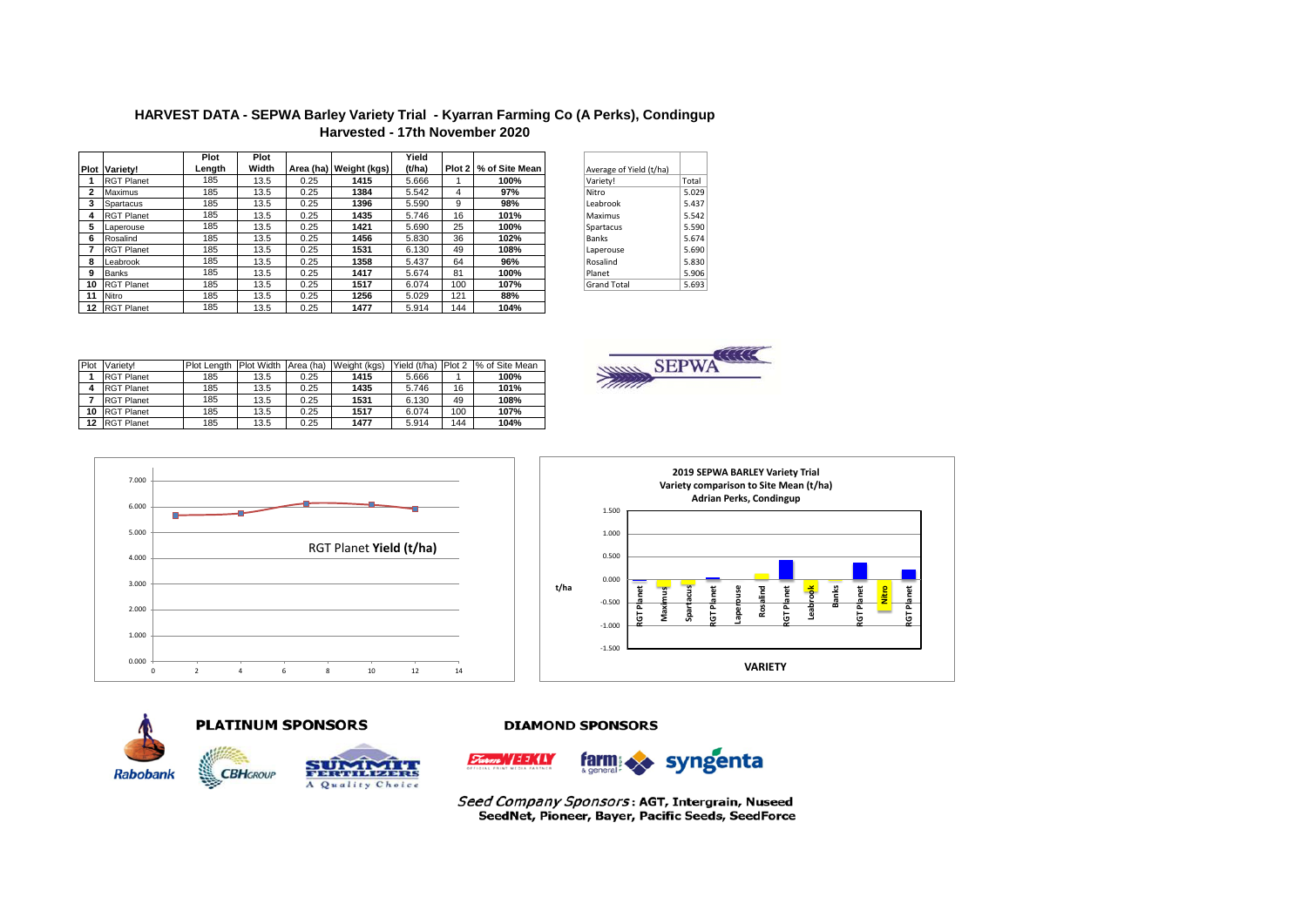|              |                   | Plot   | Plot  |           |              | Yield  |                   |                |
|--------------|-------------------|--------|-------|-----------|--------------|--------|-------------------|----------------|
| Plot         | Variety!          | Length | Width | Area (ha) | Weight (kgs) | (t/ha) | Plot <sub>2</sub> | % of Site Mean |
|              | <b>RGT Planet</b> | 185    | 13.5  | 0.25      | 1415         | 5.666  |                   | 100%           |
| $\mathbf{2}$ | <b>Maximus</b>    | 185    | 13.5  | 0.25      | 1384         | 5.542  | 4                 | 97%            |
| 3            | Spartacus         | 185    | 13.5  | 0.25      | 1396         | 5.590  | 9                 | 98%            |
| 4            | <b>RGT Planet</b> | 185    | 13.5  | 0.25      | 1435         | 5.746  | 16                | 101%           |
| 5            | Laperouse         | 185    | 13.5  | 0.25      | 1421         | 5.690  | 25                | 100%           |
| 6            | Rosalind          | 185    | 13.5  | 0.25      | 1456         | 5.830  | 36                | 102%           |
| 7            | <b>RGT Planet</b> | 185    | 13.5  | 0.25      | 1531         | 6.130  | 49                | 108%           |
| 8            | Leabrook          | 185    | 13.5  | 0.25      | 1358         | 5.437  | 64                | 96%            |
| 9            | <b>Banks</b>      | 185    | 13.5  | 0.25      | 1417         | 5.674  | 81                | 100%           |
| 10           | <b>RGT Planet</b> | 185    | 13.5  | 0.25      | 1517         | 6.074  | 100               | 107%           |
| 11           | Nitro             | 185    | 13.5  | 0.25      | 1256         | 5.029  | 121               | 88%            |
| 12           | <b>RGT Planet</b> | 185    | 13.5  | 0.25      | 1477         | 5.914  | 144               | 104%           |

HARVEST DATA - SEPWA Barley Variety Trial - Kyarran Farming Co (A Perks), Condingup Harvested - 17th November 2020

| Average of Yield (t/ha) |       |
|-------------------------|-------|
| Variety!                | Total |
| Nitro                   | 5.029 |
| Leabrook                | 5.437 |
| Maximus                 | 5.542 |
| Spartacus               | 5.590 |
| <b>Banks</b>            | 5.674 |
| Laperouse               | 5.690 |
| Rosalind                | 5.830 |
| Planet                  | 5.906 |
| <b>Grand Total</b>      | 5.693 |

| Plot | Variety!          | Plot Lenath | Plot Width Area (ha) |      | Weight (kgs) |       |     | Yield (t/ha) Plot 2  % of Site Mean |
|------|-------------------|-------------|----------------------|------|--------------|-------|-----|-------------------------------------|
|      | <b>RGT Planet</b> | 185         | 13.5                 | 0.25 | 1415         | 5.666 |     | 100%                                |
|      | <b>RGT Planet</b> | 185         | 13.5                 | 0.25 | 1435         | 5.746 | 16  | 101%                                |
|      | <b>RGT Planet</b> | 185         | 13.5                 | 0.25 | 1531         | 6.130 | 49  | 108%                                |
| 10   | <b>RGT Planet</b> | 185         | 13.5                 | 0.25 | 1517         | 6.074 | 100 | 107%                                |
| 12   | <b>RGT Planet</b> | 185         | 13.5                 | 0.25 | 1477         | 5.914 | 144 | 104%                                |









#### **PLATINUM SPONSORS**



#### **DIAMOND SPONSORS**



Seed Company Sponsors: AGT, Intergrain, Nuseed SeedNet, Pioneer, Bayer, Pacific Seeds, SeedForce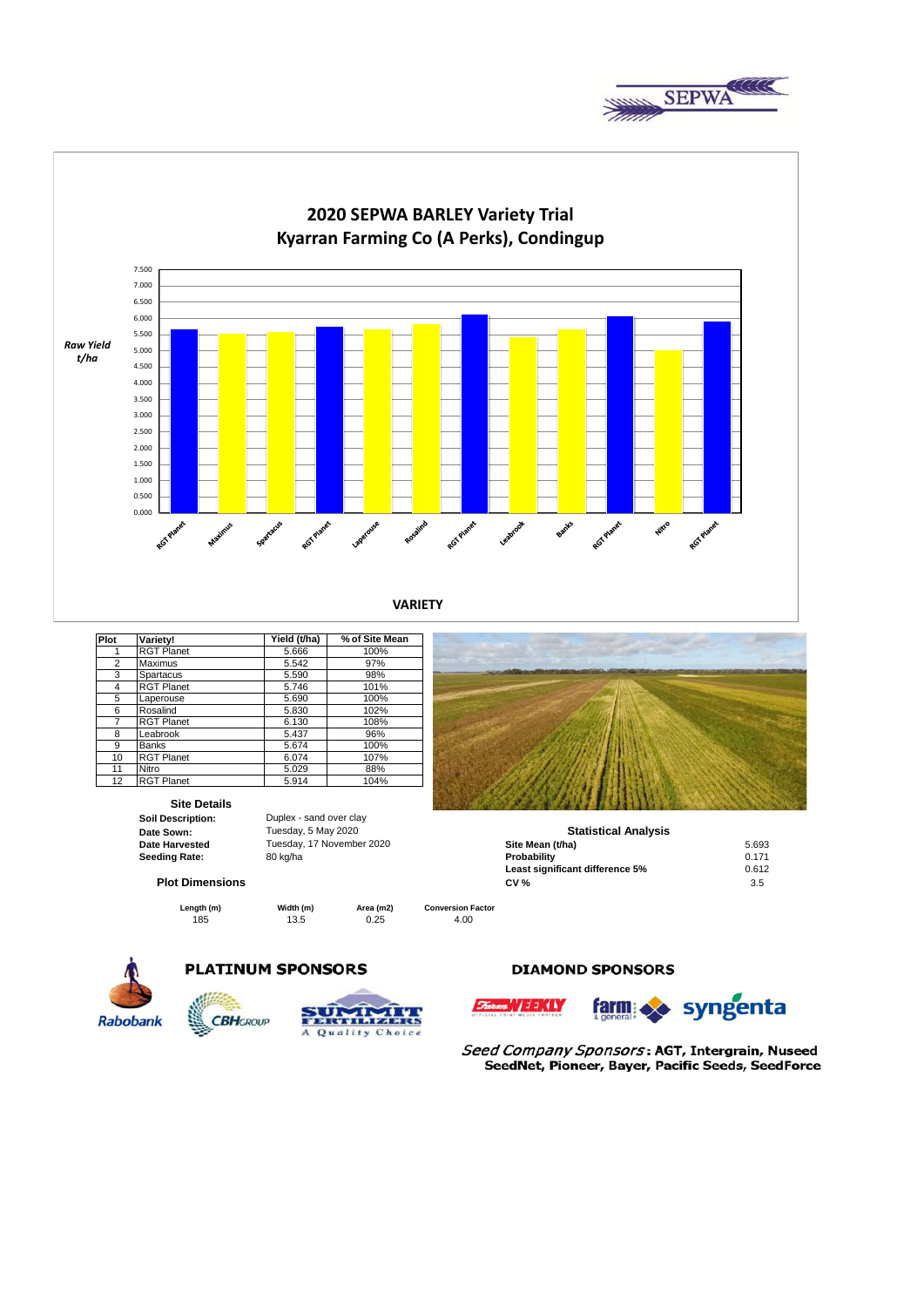



**VARIETY**

| Plot           | Variety!          | Yield (t/ha) | % of Site Mean |
|----------------|-------------------|--------------|----------------|
| 1              | <b>RGT Planet</b> | 5.666        | 100%           |
| $\overline{c}$ | Maximus           | 5.542        | 97%            |
| 3              | Spartacus         | 5.590        | 98%            |
| 4              | <b>RGT Planet</b> | 5.746        | 101%           |
| 5              | Laperouse         | 5.690        | 100%           |
| 6              | Rosalind          | 5.830        | 102%           |
| 7              | <b>RGT Planet</b> | 6.130        | 108%           |
| 8              | Leabrook          | 5.437        | 96%            |
| 9              | <b>Banks</b>      | 5.674        | 100%           |
| 10             | <b>RGT Planet</b> | 6.074        | 107%           |
| 11             | Nitro             | 5.029        | 88%            |
| 12             | <b>RGT Planet</b> | 5.914        | 104%           |
|                |                   |              |                |

# **Site Details**<br> **Soil Description:**

**Date Sown: Seeding Rate:** 80 kg/ha

**Soil Description:** Duplex - sand over clay Tuesday, 5 May 2020

#### **Plot Dimensions**

185 13.5 0.25 4.00 **Length (m) Width (m) Area (m2)** 



| Date Sown:             | Tuesday, 5 May 2020       | <b>Statistical Analysis</b>     |       |  |
|------------------------|---------------------------|---------------------------------|-------|--|
| <b>Date Harvested</b>  | Tuesday, 17 November 2020 | Site Mean (t/ha)                | 5.693 |  |
| Seeding Rate:          | 80 kg/ha                  | Probability                     | 0.171 |  |
|                        |                           | Least significant difference 5% | 0.612 |  |
| <b>Plot Dimensions</b> |                           | <b>CV %</b>                     | 3.5   |  |

**Conversion Factor**



### **PLATINUM SPONSORS**

**CBH**GROUP



#### **DIAMOND SPONSORS**



Seed Company Sponsors: AGT, Intergrain, Nuseed SeedNet, Pioneer, Bayer, Pacific Seeds, SeedForce